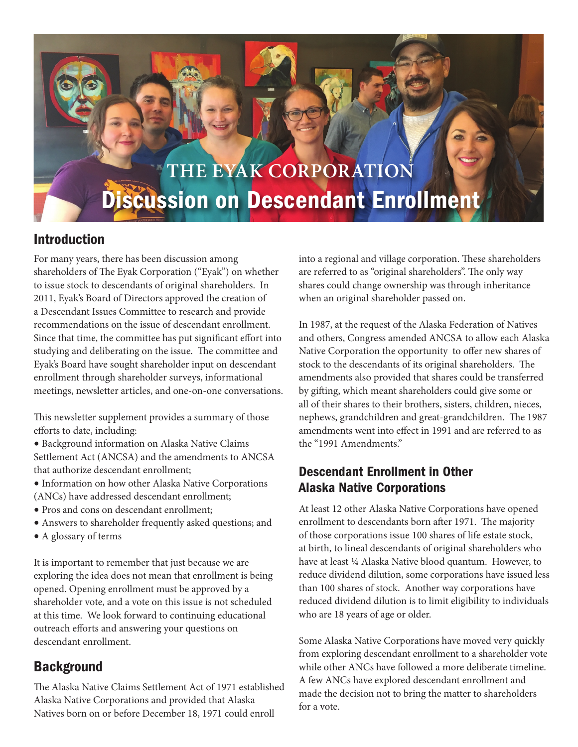

## Introduction

For many years, there has been discussion among shareholders of The Eyak Corporation ("Eyak") on whether to issue stock to descendants of original shareholders. In 2011, Eyak's Board of Directors approved the creation of a Descendant Issues Committee to research and provide recommendations on the issue of descendant enrollment. Since that time, the committee has put significant effort into studying and deliberating on the issue. The committee and Eyak's Board have sought shareholder input on descendant enrollment through shareholder surveys, informational meetings, newsletter articles, and one-on-one conversations.

This newsletter supplement provides a summary of those efforts to date, including:

**•** Background information on Alaska Native Claims Settlement Act (ANCSA) and the amendments to ANCSA that authorize descendant enrollment;

- **•** Information on how other Alaska Native Corporations
- (ANCs) have addressed descendant enrollment;
- **•** Pros and cons on descendant enrollment;
- **•** Answers to shareholder frequently asked questions; and
- **•** A glossary of terms

It is important to remember that just because we are exploring the idea does not mean that enrollment is being opened. Opening enrollment must be approved by a shareholder vote, and a vote on this issue is not scheduled at this time. We look forward to continuing educational outreach efforts and answering your questions on descendant enrollment.

## **Background**

The Alaska Native Claims Settlement Act of 1971 established Alaska Native Corporations and provided that Alaska Natives born on or before December 18, 1971 could enroll

into a regional and village corporation. These shareholders are referred to as "original shareholders". The only way shares could change ownership was through inheritance when an original shareholder passed on.

In 1987, at the request of the Alaska Federation of Natives and others, Congress amended ANCSA to allow each Alaska Native Corporation the opportunity to offer new shares of stock to the descendants of its original shareholders. The amendments also provided that shares could be transferred by gifting, which meant shareholders could give some or all of their shares to their brothers, sisters, children, nieces, nephews, grandchildren and great-grandchildren. The 1987 amendments went into effect in 1991 and are referred to as the "1991 Amendments."

## Descendant Enrollment in Other Alaska Native Corporations

At least 12 other Alaska Native Corporations have opened enrollment to descendants born after 1971. The majority of those corporations issue 100 shares of life estate stock, at birth, to lineal descendants of original shareholders who have at least ¼ Alaska Native blood quantum. However, to reduce dividend dilution, some corporations have issued less than 100 shares of stock. Another way corporations have reduced dividend dilution is to limit eligibility to individuals who are 18 years of age or older.

Some Alaska Native Corporations have moved very quickly from exploring descendant enrollment to a shareholder vote while other ANCs have followed a more deliberate timeline. A few ANCs have explored descendant enrollment and made the decision not to bring the matter to shareholders for a vote.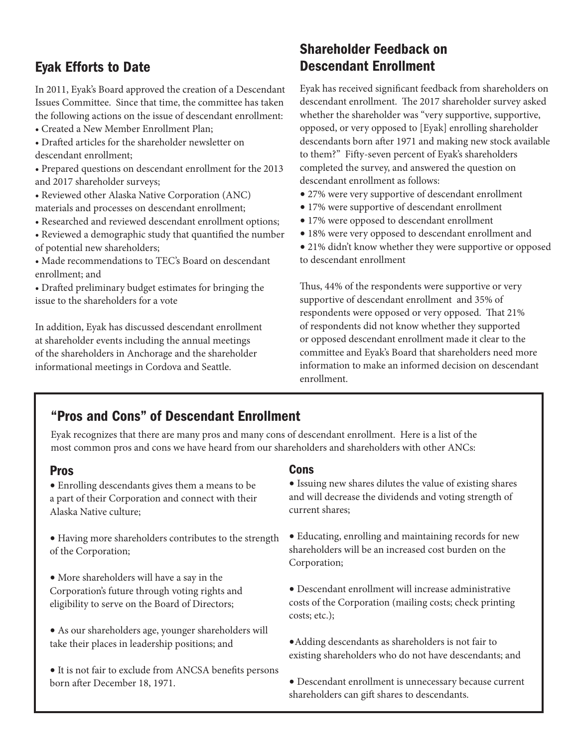# Eyak Efforts to Date

In 2011, Eyak's Board approved the creation of a Descendant Issues Committee. Since that time, the committee has taken the following actions on the issue of descendant enrollment:

- Created a New Member Enrollment Plan;
- Drafted articles for the shareholder newsletter on descendant enrollment;
- Prepared questions on descendant enrollment for the 2013 and 2017 shareholder surveys;
- Reviewed other Alaska Native Corporation (ANC) materials and processes on descendant enrollment;
- Researched and reviewed descendant enrollment options;
- Reviewed a demographic study that quantified the number
- of potential new shareholders;
- Made recommendations to TEC's Board on descendant enrollment; and
- Drafted preliminary budget estimates for bringing the issue to the shareholders for a vote

In addition, Eyak has discussed descendant enrollment at shareholder events including the annual meetings of the shareholders in Anchorage and the shareholder informational meetings in Cordova and Seattle.

# Shareholder Feedback on Descendant Enrollment

Eyak has received significant feedback from shareholders on descendant enrollment. The 2017 shareholder survey asked whether the shareholder was "very supportive, supportive, opposed, or very opposed to [Eyak] enrolling shareholder descendants born after 1971 and making new stock available to them?" Fifty-seven percent of Eyak's shareholders completed the survey, and answered the question on descendant enrollment as follows:

- **•** 27% were very supportive of descendant enrollment
- **•** 17% were supportive of descendant enrollment
- **•** 17% were opposed to descendant enrollment
- **•** 18% were very opposed to descendant enrollment and
- **•** 21% didn't know whether they were supportive or opposed to descendant enrollment

Thus, 44% of the respondents were supportive or very supportive of descendant enrollment and 35% of respondents were opposed or very opposed. That 21% of respondents did not know whether they supported or opposed descendant enrollment made it clear to the committee and Eyak's Board that shareholders need more information to make an informed decision on descendant enrollment.

# "Pros and Cons" of Descendant Enrollment

Eyak recognizes that there are many pros and many cons of descendant enrollment. Here is a list of the most common pros and cons we have heard from our shareholders and shareholders with other ANCs:

#### Pros

**•** Enrolling descendants gives them a means to be a part of their Corporation and connect with their Alaska Native culture;

**•** Having more shareholders contributes to the strength of the Corporation;

**•** More shareholders will have a say in the Corporation's future through voting rights and eligibility to serve on the Board of Directors;

**•** As our shareholders age, younger shareholders will take their places in leadership positions; and

**•** It is not fair to exclude from ANCSA benefits persons born after December 18, 1971.

#### Cons

l

ĺ

- **•** Issuing new shares dilutes the value of existing shares and will decrease the dividends and voting strength of current shares;
- **•** Educating, enrolling and maintaining records for new shareholders will be an increased cost burden on the Corporation;
- **•** Descendant enrollment will increase administrative costs of the Corporation (mailing costs; check printing costs; etc.);
- **•**Adding descendants as shareholders is not fair to existing shareholders who do not have descendants; and
- **•** Descendant enrollment is unnecessary because current shareholders can gift shares to descendants.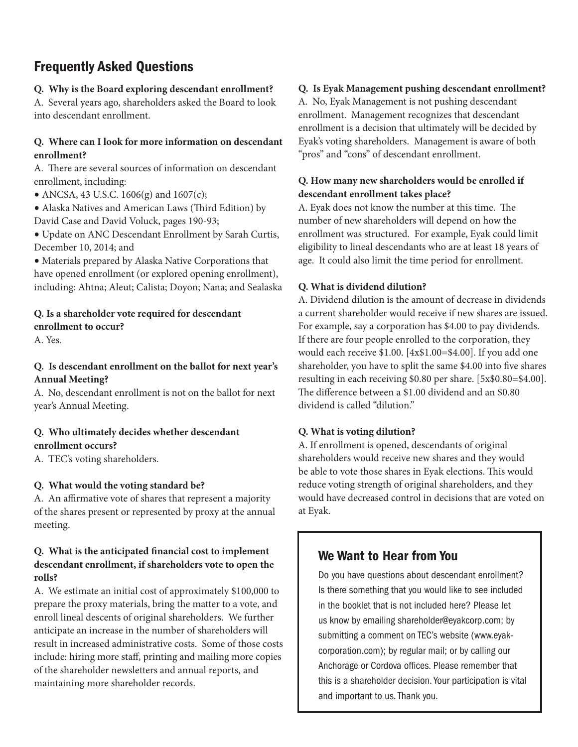# Frequently Asked Questions

#### **Q. Why is the Board exploring descendant enrollment?**

A. Several years ago, shareholders asked the Board to look into descendant enrollment.

#### **Q. Where can I look for more information on descendant enrollment?**

A. There are several sources of information on descendant enrollment, including:

• ANCSA, 43 U.S.C. 1606(g) and 1607(c);

**•** Alaska Natives and American Laws (Third Edition) by David Case and David Voluck, pages 190-93;

**•** Update on ANC Descendant Enrollment by Sarah Curtis, December 10, 2014; and

**•** Materials prepared by Alaska Native Corporations that have opened enrollment (or explored opening enrollment), including: Ahtna; Aleut; Calista; Doyon; Nana; and Sealaska

# **Q. Is a shareholder vote required for descendant**

### **enrollment to occur?**

A. Yes.

### **Q. Is descendant enrollment on the ballot for next year's Annual Meeting?**

A. No, descendant enrollment is not on the ballot for next year's Annual Meeting.

#### **Q. Who ultimately decides whether descendant enrollment occurs?**

A. TEC's voting shareholders.

#### **Q. What would the voting standard be?**

A. An affirmative vote of shares that represent a majority of the shares present or represented by proxy at the annual meeting.

#### **Q. What is the anticipated financial cost to implement descendant enrollment, if shareholders vote to open the rolls?**

A. We estimate an initial cost of approximately \$100,000 to prepare the proxy materials, bring the matter to a vote, and enroll lineal descents of original shareholders. We further anticipate an increase in the number of shareholders will result in increased administrative costs. Some of those costs include: hiring more staff, printing and mailing more copies of the shareholder newsletters and annual reports, and maintaining more shareholder records.

#### **Q. Is Eyak Management pushing descendant enrollment?**

A. No, Eyak Management is not pushing descendant enrollment. Management recognizes that descendant enrollment is a decision that ultimately will be decided by Eyak's voting shareholders. Management is aware of both "pros" and "cons" of descendant enrollment.

#### **Q. How many new shareholders would be enrolled if descendant enrollment takes place?**

A. Eyak does not know the number at this time. The number of new shareholders will depend on how the enrollment was structured. For example, Eyak could limit eligibility to lineal descendants who are at least 18 years of age. It could also limit the time period for enrollment.

#### **Q. What is dividend dilution?**

A. Dividend dilution is the amount of decrease in dividends a current shareholder would receive if new shares are issued. For example, say a corporation has \$4.00 to pay dividends. If there are four people enrolled to the corporation, they would each receive \$1.00. [4x\$1.00=\$4.00]. If you add one shareholder, you have to split the same \$4.00 into five shares resulting in each receiving \$0.80 per share. [5x\$0.80=\$4.00]. The difference between a \$1.00 dividend and an \$0.80 dividend is called "dilution."

#### **Q. What is voting dilution?**

A. If enrollment is opened, descendants of original shareholders would receive new shares and they would be able to vote those shares in Eyak elections. This would reduce voting strength of original shareholders, and they would have decreased control in decisions that are voted on at Eyak.

## We Want to Hear from You

Do you have questions about descendant enrollment? Is there something that you would like to see included in the booklet that is not included here? Please let us know by emailing shareholder@eyakcorp.com; by submitting a comment on TEC's website (www.eyakcorporation.com); by regular mail; or by calling our Anchorage or Cordova offices. Please remember that this is a shareholder decision. Your participation is vital and important to us. Thank you.